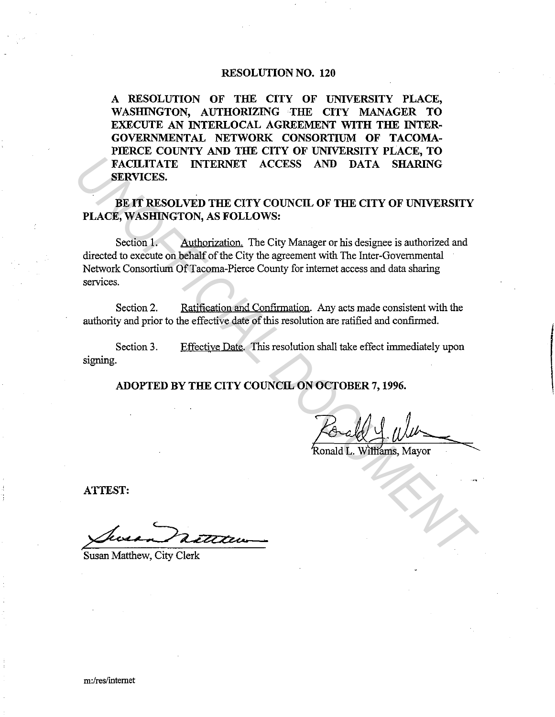#### RESOLUTION NO. 120

A RESOLUTION OF THE CITY OF UNIVERSITY PLACE, WASHINGTON, AUTHORIZING THE CITY MANAGER TO EXECUTE AN INTERLOCAL AGREEMENT WITH THE INTER-GOVERNMENTAL NETWORK CONSORTIUM OF TACOMA-PIERCE COUNTY AND THE CITY OF UNIVERSITY PLACE, TO FACILITATE INTERNET ACCESS AND DATA SHARING SERVICES.

### BE IT RESOLVED THE CITY COUNCIL OF THE CITY OF UNIVERSITY PLACE, WASHINGTON, AS FOLLOWS:

Section 1. Authorization. The City Manager or his designee is authorized and directed to execute on behalf of the City the agreement with The Inter-Governmental Network Consortium Of Tacoma-Pierce County for internet access and data sharing services. **FACULITATE INTERNET ACCESS AND DATA SHARING**<br> **SERVICES.**<br> **UNOFFICIAL DESCRIPTION AS FOLLOWS:**<br> **PLACE, WASHINGTON, AS FOLLOWS:**<br> **PLACE, WASHINGTON, AS FOLLOWS:**<br>
<br> **Continuation and Configuration** and Configuration and

Section 2. Ratification and Confirmation. Any acts made consistent with the authority and prior to the effective date of this resolution are ratified and confirmed.

Section 3. signing. Effective Date. This resolution shall take effect inunediately upon

ADOPTED BY THE CITY COUNCIL ON OCTOBER 7, 1996.

 $\frac{\text{Total } 1. \text{Wilt}}{\text{Round L. Wittams, Mayor}}$ 

ATTEST:

Susan Vatttur

Susan Matthew, City Clerk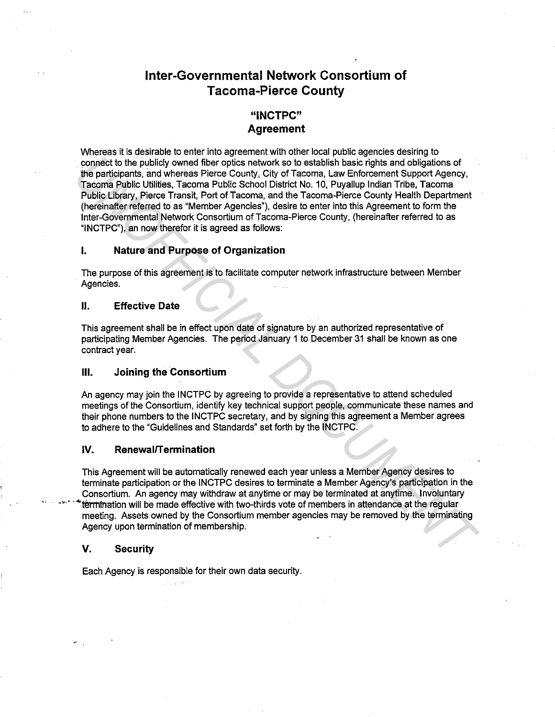# **Inter-Governmental Network Consortium of Tacoma-Pierce County**

## **"INCTPC" Agreement**

Whereas it is desirable to enter into agreement with other local public agencies desiring to connect to the publicly owned fiber optics network so to establish basic rights and obligations of the participants, and whereas Pierce County, City of Tacoma, Law Enforcement Support Agency, Tacoma Public Utilities, Tacoma Public School District No. 10, Puyallup Indian Tribe, Tacoma Public Library, Pierce Transit, Port of Tacoma, and the Tacoma-Pierce County Health Department (hereinafter referred to as "Member Agencies"), desire to enter into this Agreement to form the Inter-Governmental Network Consortium of Tacoma-Pierce County, (hereinafter referred to as "INCTPC"), an now therefor it is agreed as follows: connect to the publicly womed fiber optics naturely when the particle in the particle in the particle and the particle and whereas Pierce County, City of Tacoma, Law Enforcement Support Agency,<br>The particle anis of where t

#### **I. Nature and Purpose of Organization**

The purpose of this agreement is to facilitate computer network infrastructure between Member Agencies.

#### **II. Effective Date**

This agreement shall be in effect upon date of signature by an authorized representative of participating Member Agencies. The period January 1 to December 31 shall be known as one contract year.

#### **Ill. Joining the Consortium**

An agency may join the INCTPC by agreeing to provide a representative to attend scheduled meetings of the Consortium, identify key technical support people, communicate these names and their phone numbers to the INCTPC secretary, and by signing this agreement a Member agrees to adhere to the "Guidelines and Standards" set forth by the INCTPC.

#### IV. **RenewalfTermination**

This Agreement will be automatically renewed each year unless a Member Agency desires to terminate participation or the INCTPC desires to terminate a Member Agency's participation in the Consortium. An agency may withdraw at anytime or may be terminated at anytime. Involuntary termination will be made effective with two-thirds vote of members in attendance at the regular meeting. Assets owned by the Consortium member agencies may be removed by the terminating Agency upon termination of membership.

#### **V. Security**

••·• · 4

Each Agency is responsible for their own data security.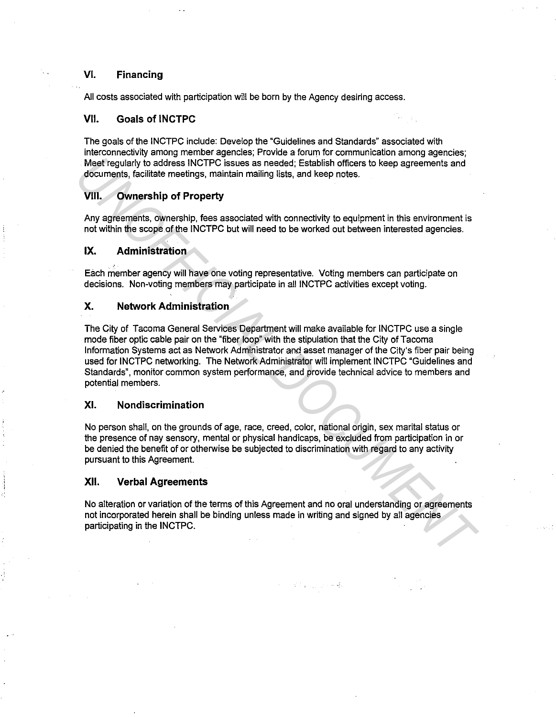#### VI. **Financing**

All costs associated with participation will be born by the Agency desiring access.

#### **VII. Goals of INCTPC**

The goals of the INCTPC include: Develop the "Guidelines and Standards" associated with interconnectivity among member agencies; Provide a forum for communication among agencies; Meet regularly to address INCTPC issues as needed; Establish officers to keep agreements and documents, facilitate meetings, maintain mailing lists, and keep notes.

#### **VIII. Ownership of Property**

Any agreements, ownership, fees associated with connectivity to equipment in this environment is not within the scope of the INCTPC but will need to be worked out between interested agencies.

#### **IX. Administration**

Each member agency will have one voting representative. Voting members can participate on decisions. Non-voting members may participate in all INCTPC activities except voting.

#### **X. Network Administration**

The City of Tacoma General Services Department will make available for INCTPC use a single mode fiber optic cable pair on the "fiber loop" with the stipulation that the City of Tacoma Information Systems act as Network Administrator and asset manager of the City's fiber pair being used for INCTPC networking. The Network Administrator will implement INCTPC "Guidelines and Standards", monitor common system pertormance, and provide technical advice to members and potential members. **Meet regularly to address INCTPC** Issues as needed; Establish officers to keep agreements and<br>documents, facilitate meetings, maintain mailing lists, and keep notes.<br>**VIII. Ownership of Property**, essassociated with con

#### XI. **Nondiscrimination**

No person shall, on the grounds of age, race, creed, color, national origin, sex marital status or the presence of nay sensory, mental or physical handicaps, be excluded from participation in or be denied the benefit of or otherwise be subjected to discrimination with regard to any activity pursuant to this Agreement.

#### **XII. Verbal Agreements**

No alteration or variation of the terms of this Agreement and no oral understanding or agreements not incorporated herein shall be binding unless made in writing and signed by all agencies participating in the INCTPC.

**2. 《《天赋》中书**